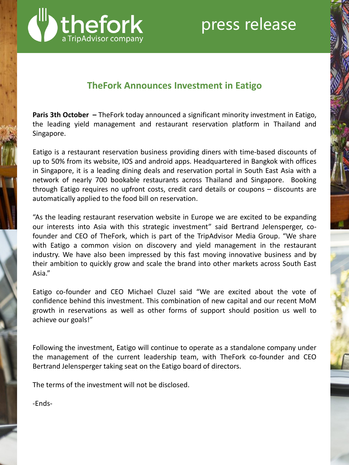

# **TheFork Announces Investment in Eatigo**

**Paris 3th October –** TheFork today announced a significant minority investment in Eatigo, the leading yield management and restaurant reservation platform in Thailand and Singapore.

Eatigo is a restaurant reservation business providing diners with time-based discounts of up to 50% from its website, IOS and android apps. Headquartered in Bangkok with offices in Singapore, it is a leading dining deals and reservation portal in South East Asia with a network of nearly 700 bookable restaurants across Thailand and Singapore. Booking through Eatigo requires no upfront costs, credit card details or coupons – discounts are automatically applied to the food bill on reservation.

"As the leading restaurant reservation website in Europe we are excited to be expanding our interests into Asia with this strategic investment" said Bertrand Jelensperger, cofounder and CEO of TheFork, which is part of the TripAdvisor Media Group. "We share with Eatigo a common vision on discovery and yield management in the restaurant industry. We have also been impressed by this fast moving innovative business and by their ambition to quickly grow and scale the brand into other markets across South East Asia."

Eatigo co-founder and CEO Michael Cluzel said "We are excited about the vote of confidence behind this investment. This combination of new capital and our recent MoM growth in reservations as well as other forms of support should position us well to achieve our goals!"

Following the investment, Eatigo will continue to operate as a standalone company under the management of the current leadership team, with TheFork co-founder and CEO Bertrand Jelensperger taking seat on the Eatigo board of directors.

The terms of the investment will not be disclosed.

-Ends-